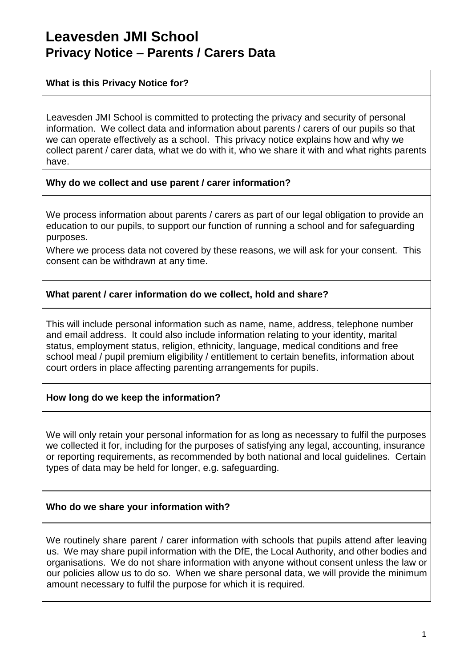# **Leavesden JMI School Privacy Notice – Parents / Carers Data**

### **What is this Privacy Notice for?**

Leavesden JMI School is committed to protecting the privacy and security of personal information. We collect data and information about parents / carers of our pupils so that we can operate effectively as a school. This privacy notice explains how and why we collect parent / carer data, what we do with it, who we share it with and what rights parents have.

#### **Why do we collect and use parent / carer information?**

We process information about parents / carers as part of our legal obligation to provide an education to our pupils, to support our function of running a school and for safeguarding purposes.

Where we process data not covered by these reasons, we will ask for your consent. This consent can be withdrawn at any time.

# **What parent / carer information do we collect, hold and share?**

This will include personal information such as name, name, address, telephone number and email address. It could also include information relating to your identity, marital status, employment status, religion, ethnicity, language, medical conditions and free school meal / pupil premium eligibility / entitlement to certain benefits, information about court orders in place affecting parenting arrangements for pupils.

# **How long do we keep the information?**

We will only retain your personal information for as long as necessary to fulfil the purposes we collected it for, including for the purposes of satisfying any legal, accounting, insurance or reporting requirements, as recommended by both national and local guidelines. Certain types of data may be held for longer, e.g. safeguarding.

# **Who do we share your information with?**

We routinely share parent / carer information with schools that pupils attend after leaving us. We may share pupil information with the DfE, the Local Authority, and other bodies and organisations. We do not share information with anyone without consent unless the law or our policies allow us to do so. When we share personal data, we will provide the minimum amount necessary to fulfil the purpose for which it is required.